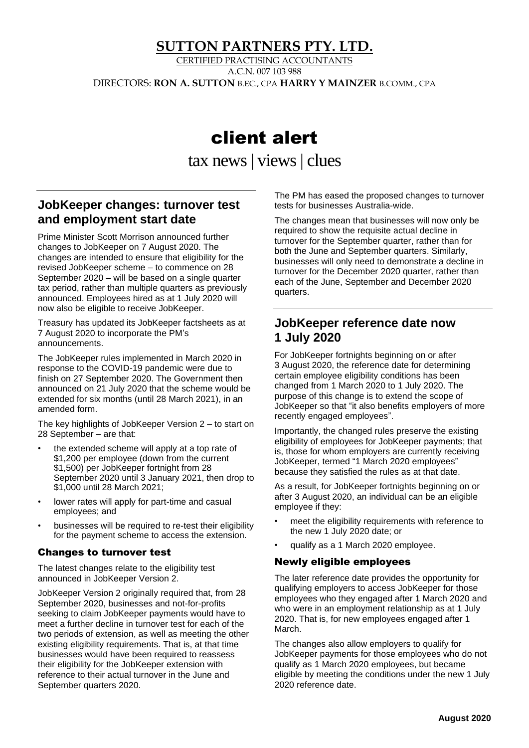## **SUTTON PARTNERS PTY. LTD.**

CERTIFIED PRACTISING ACCOUNTANTS A.C.N. 007 103 988 DIRECTORS: **RON A. SUTTON** B.EC., CPA **HARRY Y MAINZER** B.COMM., CPA

# client alert

tax news | views| clues

## **JobKeeper changes: turnover test and employment start date**

Prime Minister Scott Morrison announced further changes to JobKeeper on 7 August 2020. The changes are intended to ensure that eligibility for the revised JobKeeper scheme – to commence on 28 September 2020 – will be based on a single quarter tax period, rather than multiple quarters as previously announced. Employees hired as at 1 July 2020 will now also be eligible to receive JobKeeper.

Treasury has updated its JobKeeper factsheets as at 7 August 2020 to incorporate the PM's announcements.

The JobKeeper rules implemented in March 2020 in response to the COVID-19 pandemic were due to finish on 27 September 2020. The Government then announced on 21 July 2020 that the scheme would be extended for six months (until 28 March 2021), in an amended form.

The key highlights of JobKeeper Version 2 – to start on 28 September – are that:

- the extended scheme will apply at a top rate of \$1,200 per employee (down from the current \$1,500) per JobKeeper fortnight from 28 September 2020 until 3 January 2021, then drop to \$1,000 until 28 March 2021;
- lower rates will apply for part-time and casual employees; and
- businesses will be required to re-test their eligibility for the payment scheme to access the extension.

#### Changes to turnover test

The latest changes relate to the eligibility test announced in JobKeeper Version 2.

JobKeeper Version 2 originally required that, from 28 September 2020, businesses and not-for-profits seeking to claim JobKeeper payments would have to meet a further decline in turnover test for each of the two periods of extension, as well as meeting the other existing eligibility requirements. That is, at that time businesses would have been required to reassess their eligibility for the JobKeeper extension with reference to their actual turnover in the June and September quarters 2020.

The PM has eased the proposed changes to turnover tests for businesses Australia-wide.

The changes mean that businesses will now only be required to show the requisite actual decline in turnover for the September quarter, rather than for both the June and September quarters. Similarly, businesses will only need to demonstrate a decline in turnover for the December 2020 quarter, rather than each of the June, September and December 2020 quarters.

#### **JobKeeper reference date now 1 July 2020**

For JobKeeper fortnights beginning on or after 3 August 2020, the reference date for determining certain employee eligibility conditions has been changed from 1 March 2020 to 1 July 2020. The purpose of this change is to extend the scope of JobKeeper so that "it also benefits employers of more recently engaged employees".

Importantly, the changed rules preserve the existing eligibility of employees for JobKeeper payments; that is, those for whom employers are currently receiving JobKeeper, termed "1 March 2020 employees" because they satisfied the rules as at that date.

As a result, for JobKeeper fortnights beginning on or after 3 August 2020, an individual can be an eligible employee if they:

- meet the eligibility requirements with reference to the new 1 July 2020 date; or
- qualify as a 1 March 2020 employee.

#### Newly eligible employees

The later reference date provides the opportunity for qualifying employers to access JobKeeper for those employees who they engaged after 1 March 2020 and who were in an employment relationship as at 1 July 2020. That is, for new employees engaged after 1 March.

The changes also allow employers to qualify for JobKeeper payments for those employees who do not qualify as 1 March 2020 employees, but became eligible by meeting the conditions under the new 1 July 2020 reference date.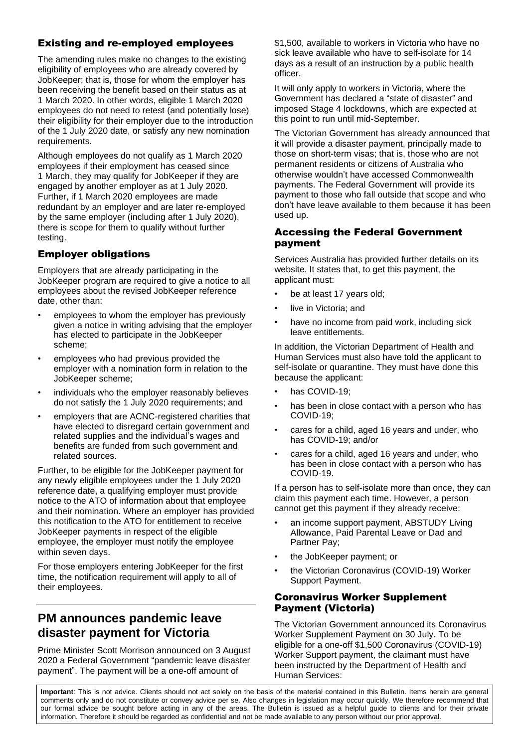#### Existing and re-employed employees

The amending rules make no changes to the existing eligibility of employees who are already covered by JobKeeper; that is, those for whom the employer has been receiving the benefit based on their status as at 1 March 2020. In other words, eligible 1 March 2020 employees do not need to retest (and potentially lose) their eligibility for their employer due to the introduction of the 1 July 2020 date, or satisfy any new nomination requirements.

Although employees do not qualify as 1 March 2020 employees if their employment has ceased since 1 March, they may qualify for JobKeeper if they are engaged by another employer as at 1 July 2020. Further, if 1 March 2020 employees are made redundant by an employer and are later re-employed by the same employer (including after 1 July 2020), there is scope for them to qualify without further testing.

#### Employer obligations

Employers that are already participating in the JobKeeper program are required to give a notice to all employees about the revised JobKeeper reference date, other than:

- employees to whom the employer has previously given a notice in writing advising that the employer has elected to participate in the JobKeeper scheme;
- employees who had previous provided the employer with a nomination form in relation to the JobKeeper scheme;
- individuals who the employer reasonably believes do not satisfy the 1 July 2020 requirements; and
- employers that are ACNC-registered charities that have elected to disregard certain government and related supplies and the individual's wages and benefits are funded from such government and related sources.

Further, to be eligible for the JobKeeper payment for any newly eligible employees under the 1 July 2020 reference date, a qualifying employer must provide notice to the ATO of information about that employee and their nomination. Where an employer has provided this notification to the ATO for entitlement to receive JobKeeper payments in respect of the eligible employee, the employer must notify the employee within seven days.

For those employers entering JobKeeper for the first time, the notification requirement will apply to all of their employees.

## **PM announces pandemic leave disaster payment for Victoria**

Prime Minister Scott Morrison announced on 3 August 2020 a Federal Government "pandemic leave disaster payment". The payment will be a one-off amount of

\$1,500, available to workers in Victoria who have no sick leave available who have to self-isolate for 14 days as a result of an instruction by a public health officer.

It will only apply to workers in Victoria, where the Government has declared a "state of disaster" and imposed Stage 4 lockdowns, which are expected at this point to run until mid-September.

The Victorian Government has already announced that it will provide a disaster payment, principally made to those on short-term visas; that is, those who are not permanent residents or citizens of Australia who otherwise wouldn't have accessed Commonwealth payments. The Federal Government will provide its payment to those who fall outside that scope and who don't have leave available to them because it has been used up.

#### Accessing the Federal Government payment

Services Australia has provided further details on its website. It states that, to get this payment, the applicant must:

- be at least 17 years old;
- live in Victoria; and
- have no income from paid work, including sick leave entitlements.

In addition, the Victorian Department of Health and Human Services must also have told the applicant to self-isolate or quarantine. They must have done this because the applicant:

- has COVID-19;
- has been in close contact with a person who has COVID-19;
- cares for a child, aged 16 years and under, who has COVID-19; and/or
- cares for a child, aged 16 years and under, who has been in close contact with a person who has COVID-19.

If a person has to self-isolate more than once, they can claim this payment each time. However, a person cannot get this payment if they already receive:

- an income support payment, ABSTUDY Living Allowance, Paid Parental Leave or Dad and Partner Pay;
- the JobKeeper payment; or
- the Victorian Coronavirus (COVID-19) Worker Support Payment.

#### Coronavirus Worker Supplement Payment (Victoria)

The Victorian Government announced its Coronavirus Worker Supplement Payment on 30 July. To be eligible for a one-off \$1,500 Coronavirus (COVID-19) Worker Support payment, the claimant must have been instructed by the Department of Health and Human Services:

**Important**: This is not advice. Clients should not act solely on the basis of the material contained in this Bulletin. Items herein are general comments only and do not constitute or convey advice per se. Also changes in legislation may occur quickly. We therefore recommend that our formal advice be sought before acting in any of the areas. The Bulletin is issued as a helpful guide to clients and for their private information. Therefore it should be regarded as confidential and not be made available to any person without our prior approval.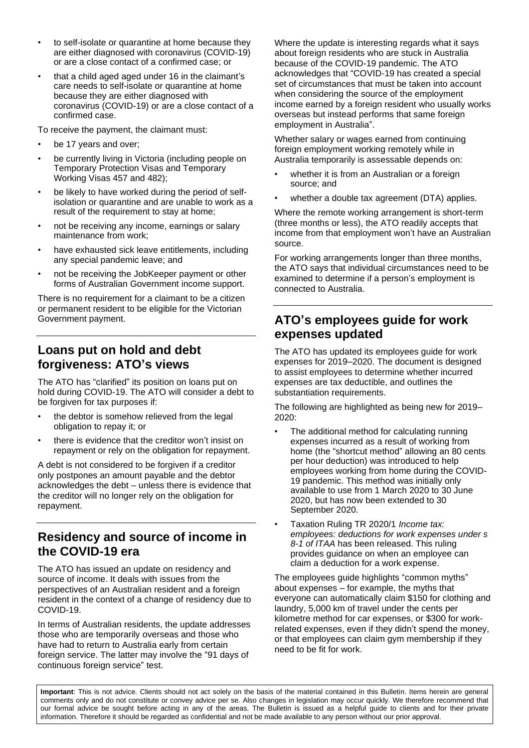- to self-isolate or quarantine at home because they are either diagnosed with coronavirus (COVID-19) or are a close contact of a confirmed case; or
- that a child aged aged under 16 in the claimant's care needs to self-isolate or quarantine at home because they are either diagnosed with coronavirus (COVID-19) or are a close contact of a confirmed case.

To receive the payment, the claimant must:

- be 17 years and over;
- be currently living in Victoria (including people on Temporary Protection Visas and Temporary Working Visas 457 and 482);
- be likely to have worked during the period of selfisolation or quarantine and are unable to work as a result of the requirement to stay at home;
- not be receiving any income, earnings or salary maintenance from work;
- have exhausted sick leave entitlements, including any special pandemic leave; and
- not be receiving the JobKeeper payment or other forms of Australian Government income support.

There is no requirement for a claimant to be a citizen or permanent resident to be eligible for the Victorian Government payment.

### **Loans put on hold and debt forgiveness: ATO's views**

The ATO has "clarified" its position on loans put on hold during COVID-19. The ATO will consider a debt to be forgiven for tax purposes if:

- the debtor is somehow relieved from the legal obligation to repay it; or
- there is evidence that the creditor won't insist on repayment or rely on the obligation for repayment.

A debt is not considered to be forgiven if a creditor only postpones an amount payable and the debtor acknowledges the debt – unless there is evidence that the creditor will no longer rely on the obligation for repayment.

### **Residency and source of income in the COVID-19 era**

The ATO has issued an update on residency and source of income. It deals with issues from the perspectives of an Australian resident and a foreign resident in the context of a change of residency due to COVID-19.

In terms of Australian residents, the update addresses those who are temporarily overseas and those who have had to return to Australia early from certain foreign service. The latter may involve the "91 days of continuous foreign service" test.

Where the update is interesting regards what it says about foreign residents who are stuck in Australia because of the COVID-19 pandemic. The ATO acknowledges that "COVID-19 has created a special set of circumstances that must be taken into account when considering the source of the employment income earned by a foreign resident who usually works overseas but instead performs that same foreign employment in Australia".

Whether salary or wages earned from continuing foreign employment working remotely while in Australia temporarily is assessable depends on:

- whether it is from an Australian or a foreign source; and
- whether a double tax agreement (DTA) applies.

Where the remote working arrangement is short-term (three months or less), the ATO readily accepts that income from that employment won't have an Australian source.

For working arrangements longer than three months, the ATO says that individual circumstances need to be examined to determine if a person's employment is connected to Australia.

# **ATO's employees guide for work expenses updated**

The ATO has updated its employees guide for work expenses for 2019–2020. The document is designed to assist employees to determine whether incurred expenses are tax deductible, and outlines the substantiation requirements.

The following are highlighted as being new for 2019– 2020:

- The additional method for calculating running expenses incurred as a result of working from home (the "shortcut method" allowing an 80 cents per hour deduction) was introduced to help employees working from home during the COVID-19 pandemic. This method was initially only available to use from 1 March 2020 to 30 June 2020, but has now been extended to 30 September 2020.
- Taxation Ruling TR 2020/1 *Income tax: employees: deductions for work expenses under s 8-1 of ITAA* has been released. This ruling provides guidance on when an employee can claim a deduction for a work expense.

The employees guide highlights "common myths" about expenses – for example, the myths that everyone can automatically claim \$150 for clothing and laundry, 5,000 km of travel under the cents per kilometre method for car expenses, or \$300 for workrelated expenses, even if they didn't spend the money, or that employees can claim gym membership if they need to be fit for work.

**Important**: This is not advice. Clients should not act solely on the basis of the material contained in this Bulletin. Items herein are general comments only and do not constitute or convey advice per se. Also changes in legislation may occur quickly. We therefore recommend that our formal advice be sought before acting in any of the areas. The Bulletin is issued as a helpful guide to clients and for their private information. Therefore it should be regarded as confidential and not be made available to any person without our prior approval.